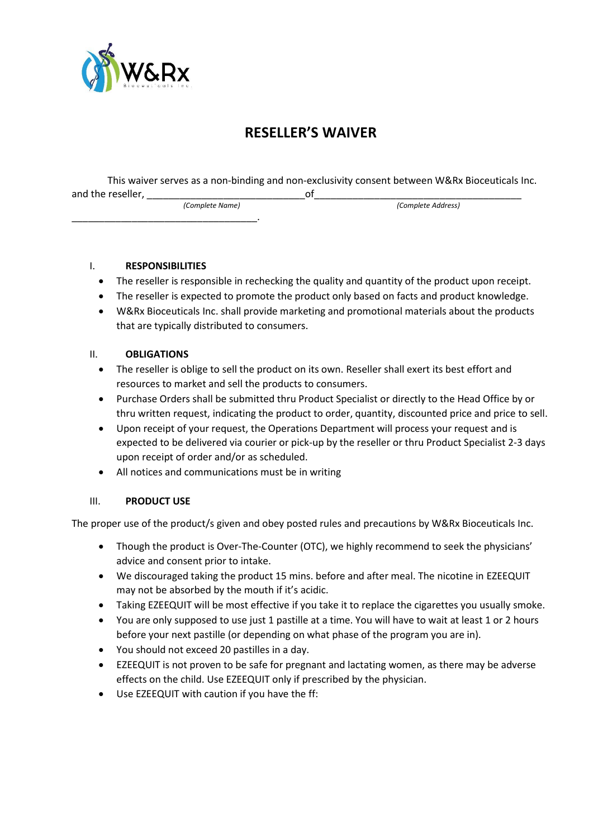

# **RESELLER'S WAIVER**

This waiver serves as a non-binding and non-exclusivity consent between W&Rx Bioceuticals Inc. and the reseller, \_\_\_\_\_\_\_\_\_\_\_\_\_\_\_\_\_\_\_\_\_\_\_\_\_\_\_\_\_of\_\_\_\_\_\_\_\_\_\_\_\_\_\_\_\_\_\_\_\_\_\_\_\_\_\_\_\_\_\_\_\_\_\_\_\_\_\_  *(Complete Name) (Complete Address)*

#### I. **RESPONSIBILITIES**

\_\_\_\_\_\_\_\_\_\_\_\_\_\_\_\_\_\_\_\_\_\_\_\_\_\_\_\_\_\_\_\_\_\_.

- The reseller is responsible in rechecking the quality and quantity of the product upon receipt.
- The reseller is expected to promote the product only based on facts and product knowledge.
- W&Rx Bioceuticals Inc. shall provide marketing and promotional materials about the products that are typically distributed to consumers.

### II. **OBLIGATIONS**

- The reseller is oblige to sell the product on its own. Reseller shall exert its best effort and resources to market and sell the products to consumers.
- Purchase Orders shall be submitted thru Product Specialist or directly to the Head Office by or thru written request, indicating the product to order, quantity, discounted price and price to sell.
- Upon receipt of your request, the Operations Department will process your request and is expected to be delivered via courier or pick-up by the reseller or thru Product Specialist 2-3 days upon receipt of order and/or as scheduled.
- All notices and communications must be in writing

#### III. **PRODUCT USE**

The proper use of the product/s given and obey posted rules and precautions by W&Rx Bioceuticals Inc.

- Though the product is Over-The-Counter (OTC), we highly recommend to seek the physicians' advice and consent prior to intake.
- We discouraged taking the product 15 mins. before and after meal. The nicotine in EZEEQUIT may not be absorbed by the mouth if it's acidic.
- Taking EZEEQUIT will be most effective if you take it to replace the cigarettes you usually smoke.
- You are only supposed to use just 1 pastille at a time. You will have to wait at least 1 or 2 hours before your next pastille (or depending on what phase of the program you are in).
- You should not exceed 20 pastilles in a day.
- EZEEQUIT is not proven to be safe for pregnant and lactating women, as there may be adverse effects on the child. Use EZEEQUIT only if prescribed by the physician.
- Use EZEEQUIT with caution if you have the ff: